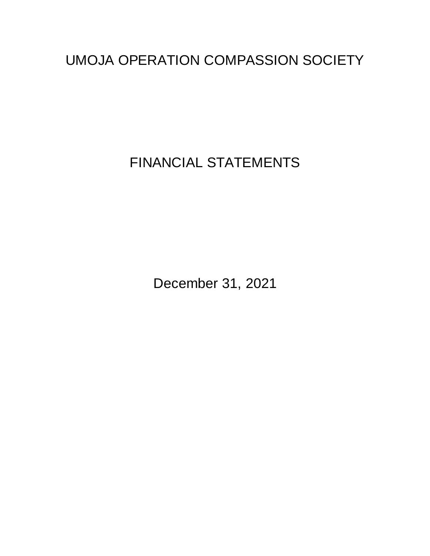FINANCIAL STATEMENTS

December 31, 2021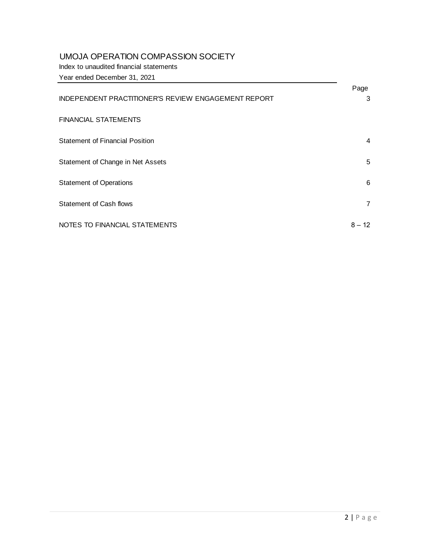Index to unaudited financial statements

Year ended December 31, 2021

|                                                            | Page           |
|------------------------------------------------------------|----------------|
| <b>INDEPENDENT PRACTITIONER'S REVIEW ENGAGEMENT REPORT</b> | 3              |
|                                                            |                |
| <b>FINANCIAL STATEMENTS</b>                                |                |
| <b>Statement of Financial Position</b>                     | 4              |
|                                                            |                |
| Statement of Change in Net Assets                          | 5              |
| <b>Statement of Operations</b>                             | 6              |
|                                                            |                |
| <b>Statement of Cash flows</b>                             | $\overline{7}$ |
| NOTES TO FINANCIAL STATEMENTS                              | $8 - 12$       |
|                                                            |                |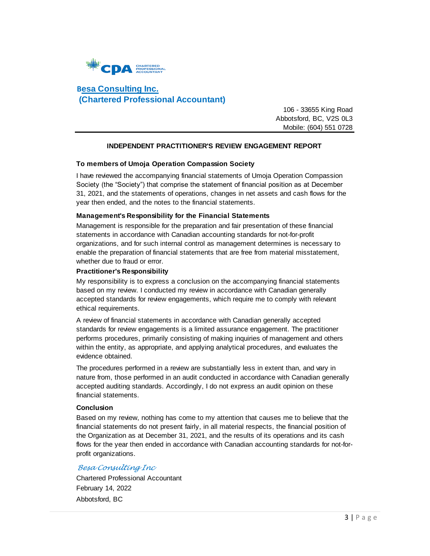

## **Besa Consulting Inc. (Chartered Professional Accountant)**

 106 - 33655 King Road Abbotsford, BC, V2S 0L3 Mobile: (604) 551 0728

#### **INDEPENDENT PRACTITIONER'S REVIEW ENGAGEMENT REPORT**

#### **To members of Umoja Operation Compassion Society**

I have reviewed the accompanying financial statements of Umoja Operation Compassion Society (the "Society") that comprise the statement of financial position as at December 31, 2021, and the statements of operations, changes in net assets and cash flows for the year then ended, and the notes to the financial statements.

#### **Management's Responsibility for the Financial Statements**

Management is responsible for the preparation and fair presentation of these financial statements in accordance with Canadian accounting standards for not-for-profit organizations, and for such internal control as management determines is necessary to enable the preparation of financial statements that are free from material misstatement, whether due to fraud or error.

#### **Practitioner's Responsibility**

My responsibility is to express a conclusion on the accompanying financial statements based on my review. I conducted my review in accordance with Canadian generally accepted standards for review engagements, which require me to comply with relevant ethical requirements.

A review of financial statements in accordance with Canadian generally accepted standards for review engagements is a limited assurance engagement. The practitioner performs procedures, primarily consisting of making inquiries of management and others within the entity, as appropriate, and applying analytical procedures, and evaluates the evidence obtained.

The procedures performed in a review are substantially less in extent than, and vary in nature from, those performed in an audit conducted in accordance with Canadian generally accepted auditing standards. Accordingly, I do not express an audit opinion on these financial statements.

#### **Conclusion**

Based on my review, nothing has come to my attention that causes me to believe that the financial statements do not present fairly, in all material respects, the financial position of the Organization as at December 31, 2021, and the results of its operations and its cash flows for the year then ended in accordance with Canadian accounting standards for not-forprofit organizations.

#### *Besa Consulting Inc*

Chartered Professional Accountant February 14, 2022 Abbotsford, BC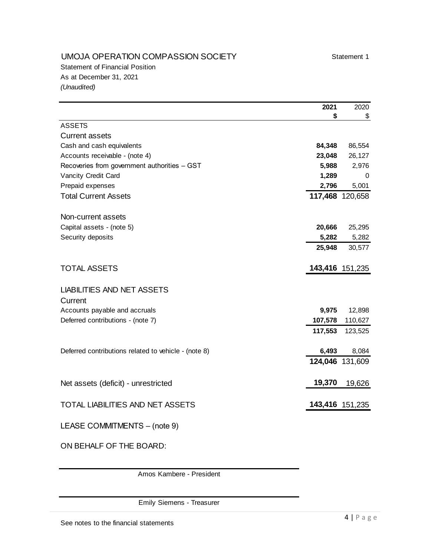## UMOJA OPERATION COMPASSION SOCIETY Statement 1

Statement of Financial Position As at December 31, 2021 *(Unaudited)*

|                                                      | 2021    | 2020            |
|------------------------------------------------------|---------|-----------------|
|                                                      | \$      | \$              |
| <b>ASSETS</b>                                        |         |                 |
| <b>Current assets</b>                                |         |                 |
| Cash and cash equivalents                            | 84,348  | 86,554          |
| Accounts receivable - (note 4)                       | 23,048  | 26,127          |
| Recoveries from government authorities - GST         | 5,988   | 2,976           |
| Vancity Credit Card                                  | 1,289   | 0               |
| Prepaid expenses                                     | 2,796   | 5,001           |
| <b>Total Current Assets</b>                          |         | 117,468 120,658 |
| Non-current assets                                   |         |                 |
| Capital assets - (note 5)                            | 20,666  | 25,295          |
| Security deposits                                    | 5,282   | 5,282           |
|                                                      | 25,948  | 30,577          |
| <b>TOTAL ASSETS</b>                                  |         | 143,416 151,235 |
| <b>LIABILITIES AND NET ASSETS</b><br>Current         |         |                 |
| Accounts payable and accruals                        | 9,975   | 12,898          |
| Deferred contributions - (note 7)                    | 107,578 | 110,627         |
|                                                      | 117,553 | 123,525         |
| Deferred contributions related to vehicle - (note 8) | 6,493   | 8,084           |
|                                                      |         | 124,046 131,609 |
| Net assets (deficit) - unrestricted                  | 19,370  | 19,626          |
| TOTAL LIABILITIES AND NET ASSETS                     |         | 143,416 151,235 |
| LEASE COMMITMENTS - (note 9)                         |         |                 |

ON BEHALF OF THE BOARD:

Amos Kambere - President

Emily Siemens - Treasurer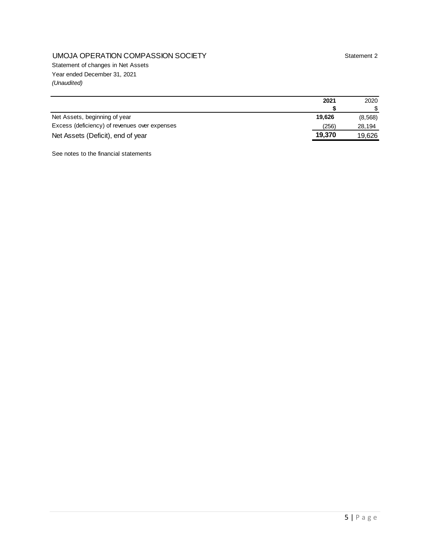## UMOJA OPERATION COMPASSION SOCIETY Statement 2

Statement of changes in Net Assets Year ended December 31, 2021 *(Unaudited)*

| 2021                                                   | 2020    |
|--------------------------------------------------------|---------|
|                                                        |         |
| Net Assets, beginning of year<br>19.626                | (8,568) |
| Excess (deficiency) of revenues over expenses<br>(256) | 28,194  |
| 19,370<br>Net Assets (Deficit), end of year            | 19.626  |

See notes to the financial statements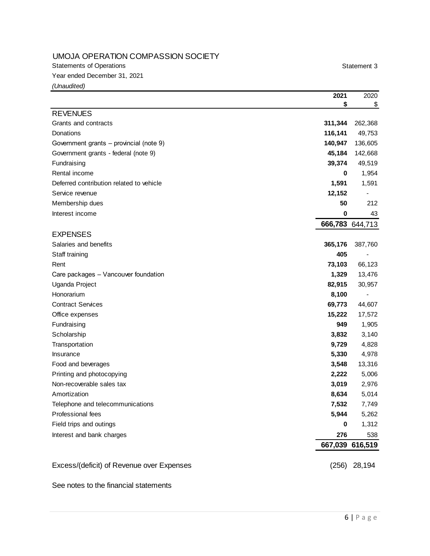Statements of Operations **Statement 3** 

Year ended December 31, 2021

*(Unaudited)*

|                                           | 2021    | 2020            |
|-------------------------------------------|---------|-----------------|
|                                           | \$      | $\frac{1}{2}$   |
| <b>REVENUES</b>                           |         |                 |
| Grants and contracts                      | 311,344 | 262,368         |
| Donations                                 | 116,141 | 49,753          |
| Government grants - provincial (note 9)   | 140,947 | 136,605         |
| Government grants - federal (note 9)      | 45,184  | 142,668         |
| Fundraising                               | 39,374  | 49,519          |
| Rental income                             | 0       | 1,954           |
| Deferred contribution related to vehicle  | 1,591   | 1,591           |
| Service revenue                           | 12,152  |                 |
| Membership dues                           | 50      | 212             |
| Interest income                           | 0       | 43              |
|                                           |         | 666,783 644,713 |
| <b>EXPENSES</b>                           |         |                 |
| Salaries and benefits                     | 365,176 | 387,760         |
| Staff training                            | 405     |                 |
| Rent                                      | 73,103  | 66,123          |
| Care packages - Vancouver foundation      | 1,329   | 13,476          |
| Uganda Project                            | 82,915  | 30,957          |
| Honorarium                                | 8,100   |                 |
| <b>Contract Services</b>                  | 69,773  | 44,607          |
| Office expenses                           | 15,222  | 17,572          |
| Fundraising                               | 949     | 1,905           |
| Scholarship                               | 3,832   | 3,140           |
| Transportation                            | 9,729   | 4,828           |
| Insurance                                 | 5,330   | 4,978           |
| Food and beverages                        | 3,548   | 13,316          |
| Printing and photocopying                 | 2,222   | 5,006           |
| Non-recoverable sales tax                 | 3,019   | 2,976           |
| Amortization                              | 8,634   | 5,014           |
| Telephone and telecommunications          | 7,532   | 7,749           |
| Professional fees                         | 5,944   | 5,262           |
| Field trips and outings                   | 0       | 1,312           |
| Interest and bank charges                 | 276     | 538             |
|                                           |         | 667,039 616,519 |
| Excess/(deficit) of Revenue over Expenses | (256)   | 28,194          |

#### See notes to the financial statements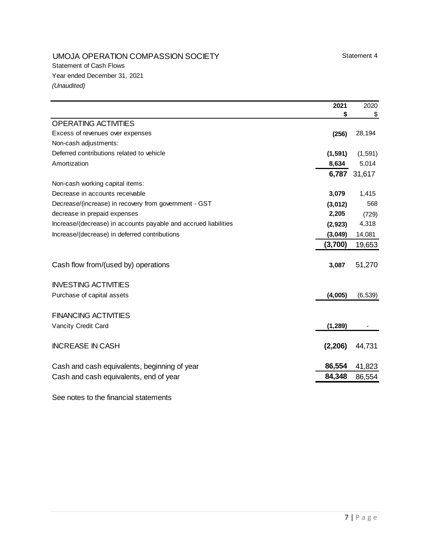## UMOJA OPERATION COMPASSION SOCIETY Statement 4

|                                                                 | 2021     | 2020         |
|-----------------------------------------------------------------|----------|--------------|
|                                                                 | S        | \$           |
| <b>OPERATING ACTIVITIES</b>                                     |          |              |
| Excess of revenues over expenses                                | (256)    | 28,194       |
| Non-cash adjustments:                                           |          |              |
| Deferred contributions related to vehicle                       | (1, 591) | (1, 591)     |
| Amortization                                                    | 8,634    | 5,014        |
|                                                                 |          | 6,787 31,617 |
| Non-cash working capital items:                                 |          |              |
| Decrease in accounts receivable                                 | 3,079    | 1,415        |
| Decrease/(increase) in recovery from government - GST           | (3,012)  | 568          |
| decrease in prepaid expenses                                    | 2,205    | (729)        |
| Increase/(decrease) in accounts payable and accrued liabilities | (2, 923) | 4,318        |
| Increase/(decrease) in deferred contributions                   | (3,049)  | 14,081       |
|                                                                 | (3,700)  | 19,653       |
|                                                                 |          |              |
| Cash flow from/(used by) operations                             | 3,087    | 51,270       |
|                                                                 |          |              |
| <b>INVESTING ACTIVITIES</b>                                     |          |              |
| Purchase of capital assets                                      | (4,005)  | (6, 539)     |
|                                                                 |          |              |
| <b>FINANCING ACTIVITIES</b>                                     |          |              |
| Vancity Credit Card                                             | (1, 289) |              |
|                                                                 |          |              |
| <b>INCREASE IN CASH</b>                                         | (2,206)  | 44,731       |
|                                                                 |          |              |
| Cash and cash equivalents, beginning of year                    | 86,554   | 41,823       |
| Cash and cash equivalents, end of year                          | 84,348   | 86,554       |

See notes to the financial statements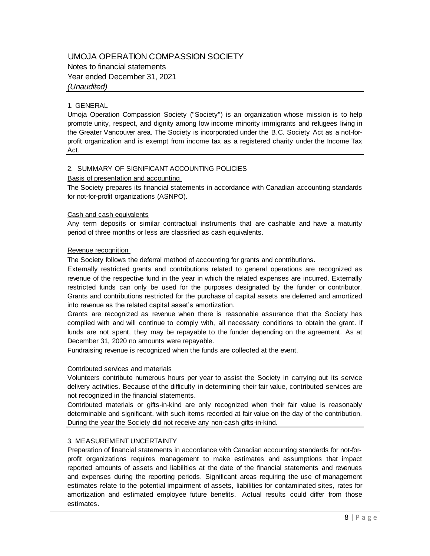### UMOJA OPERATION COMPASSION SOCIETY Notes to financial statements Year ended December 31, 2021 *(Unaudited)*

#### 1. GENERAL

Umoja Operation Compassion Society ("Society") is an organization whose mission is to help promote unity, respect, and dignity among low income minority immigrants and refugees living in the Greater Vancouver area. The Society is incorporated under the B.C. Society Act as a not-forprofit organization and is exempt from income tax as a registered charity under the Income Tax Act.

#### 2. SUMMARY OF SIGNIFICANT ACCOUNTING POLICIES

#### Basis of presentation and accounting

The Society prepares its financial statements in accordance with Canadian accounting standards for not-for-profit organizations (ASNPO).

#### Cash and cash equivalents

Any term deposits or similar contractual instruments that are cashable and have a maturity period of three months or less are classified as cash equivalents.

#### Revenue recognition

The Society follows the deferral method of accounting for grants and contributions.

Externally restricted grants and contributions related to general operations are recognized as revenue of the respective fund in the year in which the related expenses are incurred. Externally restricted funds can only be used for the purposes designated by the funder or contributor. Grants and contributions restricted for the purchase of capital assets are deferred and amortized into revenue as the related capital asset's amortization.

Grants are recognized as revenue when there is reasonable assurance that the Society has Grants and contributions restricted for the purchase of capital assets are deferred and amortized<br>into revenue as the related capital asset's amortization.<br>Grants are recognized as revenue when there is reasonable assuranc into revenue as the related capital asset's amortization.<br>Grants are recognized as revenue when there is reasonable assurance that the Society has<br>complied with and will continue to comply with, all necessary conditions to December 31, 2020 no amounts were repayable.

Fundraising revenue is recognized when the funds are collected at the event.

#### Contributed services and materials

Volunteers contribute numerous hours per year to assist the Society in carrying out its service delivery activities. Because of the difficulty in determining their fair value, contributed services are not recognized in the financial statements.

Contributed materials or gifts-in-kind are only recognized when their fair value is reasonably determinable and significant, with such items recorded at fair value on the day of the contribution. During the year the Society did not receive any non-cash gifts-in-kind.

#### 3. MEASUREMENT UNCERTAINTY

Preparation of financial statements in accordance with Canadian accounting standards for not-for-3. MEASUREMENT UNCERTAINTY<br>Preparation of financial statements in accordance with Canadian accounting standards for not-for-<br>profit organizations requires management to make estimates and assumptions that impact reported amounts of assets and liabilities at the date of the financial statements and revenues and expenses during the reporting periods. Significant areas requiring the use of management profit organizations requires management to make estimates and assumptions that impact<br>reported amounts of assets and liabilities at the date of the financial statements and revenues<br>and expenses during the reporting perio amortization and estimated employee future benefits. Actual results could differ from those estimates.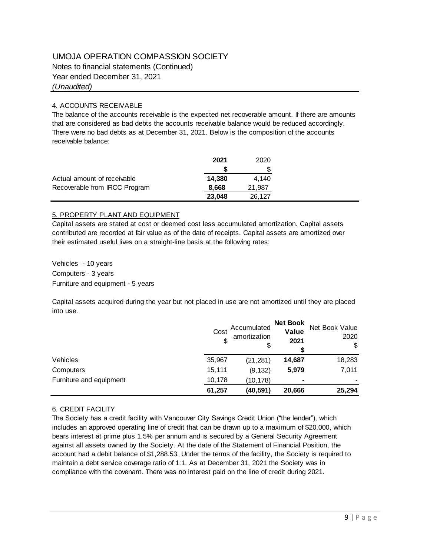Notes to financial statements (Continued)

Year ended December 31, 2021

*(Unaudited)*

#### 4. ACCOUNTS RECEIVABLE

The balance of the accounts receivable is the expected net recoverable amount. If there are amounts that are considered as bad debts the accounts receivable balance would be reduced accordingly. There were no bad debts as at December 31, 2021. Below is the composition of the accounts receivable balance:

|                               | 2021   | 2020   |
|-------------------------------|--------|--------|
|                               |        |        |
| Actual amount of receivable   | 14.380 | 4.140  |
| Recoverable from IRCC Program | 8.668  | 21,987 |
|                               | 23,048 | 26,127 |

#### 5. PROPERTY PLANT AND EQUIPMENT

Capital assets are stated at cost or deemed cost less accumulated amortization. Capital assets contributed are recorded at fair value as of the date of receipts. Capital assets are amortized over their estimated useful lives on a straight-line basis at the following rates:

Vehicles - 10 years Computers - 3 years Furniture and equipment - 5 years

Capital assets acquired during the year but not placed in use are not amortized until they are placed into use.

|                         | Cost   | Accumulated<br>amortization<br>\$ | <b>Net Book</b><br>Value<br>2021 | Net Book Value<br>2020<br>\$ |
|-------------------------|--------|-----------------------------------|----------------------------------|------------------------------|
| Vehicles                | 35,967 | (21, 281)                         | 14,687                           | 18,283                       |
| Computers               | 15,111 | (9, 132)                          | 5,979                            | 7,011                        |
| Furniture and equipment | 10,178 | (10,178)                          | -                                |                              |
|                         | 61,257 | (40,591)                          | 20,666                           | 25,294                       |

#### 6. CREDIT FACILITY

The Society has a credit facility with Vancouver City Savings Credit Union ("the lender"), which includes an approved operating line of credit that can be drawn up to a maximum of \$20,000, which bears interest at prime plus 1.5% per annum and is secured by a General Security Agreement against all assets owned by the Society. At the date of the Statement of Financial Position, the account had a debit balance of \$1,288.53. Under the terms of the facility, the Society is required to maintain a debt service coverage ratio of 1:1. As at December 31, 2021 the Society was in compliance with the covenant. There was no interest paid on the line of credit during 2021.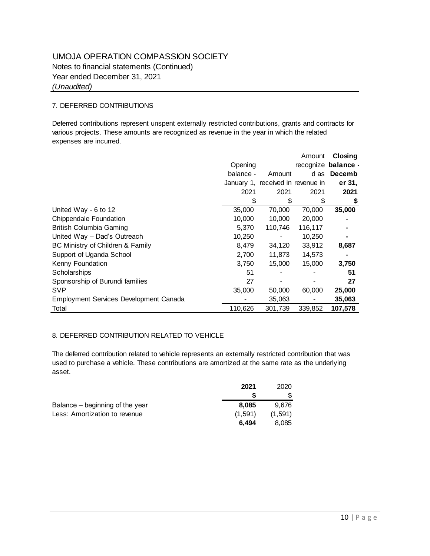## UMOJA OPERATION COMPASSION SOCIETY Year ended December 31, 2021 *(Unaudited)* Notes to financial statements (Continued)

#### 7. DEFERRED CONTRIBUTIONS

Deferred contributions represent unspent externally restricted contributions, grants and contracts for various projects. These amounts are recognized as revenue in the year in which the related expenses are incurred.

|                                        |           |                                   | Amount  | Closing             |
|----------------------------------------|-----------|-----------------------------------|---------|---------------------|
|                                        | Opening   |                                   |         | recognize balance - |
|                                        | balance - | Amount                            | d as    | Decemb              |
|                                        |           | January 1, received in revenue in |         | er 31.              |
|                                        | 2021      | 2021                              | 2021    | 2021                |
|                                        | \$        | \$                                | \$      | \$                  |
| United Way - 6 to 12                   | 35,000    | 70,000                            | 70,000  | 35,000              |
| <b>Chippendale Foundation</b>          | 10,000    | 10,000                            | 20,000  |                     |
| British Columbia Gaming                | 5,370     | 110,746                           | 116,117 |                     |
| United Way - Dad's Outreach            | 10,250    |                                   | 10,250  |                     |
| BC Ministry of Children & Family       | 8,479     | 34,120                            | 33,912  | 8,687               |
| Support of Uganda School               | 2,700     | 11,873                            | 14,573  |                     |
| Kenny Foundation                       | 3,750     | 15,000                            | 15,000  | 3,750               |
| Scholarships                           | 51        |                                   |         | 51                  |
| Sponsorship of Burundi families        | 27        |                                   |         | 27                  |
| <b>SVP</b>                             | 35,000    | 50,000                            | 60,000  | 25,000              |
| Employment Services Development Canada |           | 35,063                            |         | 35,063              |
| Total                                  | 110,626   | 301,739                           | 339,852 | 107,578             |

#### 8. DEFERRED CONTRIBUTION RELATED TO VEHICLE

The deferred contribution related to vehicle represents an externally restricted contribution that was used to purchase a vehicle. These contributions are amortized at the same rate as the underlying asset.

|                                 | 2021    | 2020    |
|---------------------------------|---------|---------|
|                                 |         |         |
| Balance – beginning of the year | 8.085   | 9.676   |
| Less: Amortization to revenue   | (1,591) | (1,591) |
|                                 | 6.494   | 8.085   |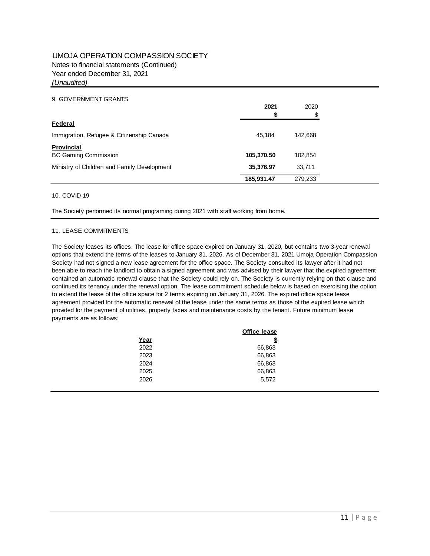#### UMOJA OPERATION COMPASSION SOCIETY Year ended December 31, 2021 *(Unaudited)* Notes to financial statements (Continued)

#### 9. GOVERNMENT GRANTS

|                                             | 2021       | 2020    |
|---------------------------------------------|------------|---------|
|                                             | S          | S       |
| Federal                                     |            |         |
| Immigration, Refugee & Citizenship Canada   | 45.184     | 142.668 |
| Provincial                                  |            |         |
| <b>BC Gaming Commission</b>                 | 105,370.50 | 102,854 |
| Ministry of Children and Family Development | 35,376.97  | 33,711  |
|                                             | 185,931.47 | 279,233 |

#### 10. COVID-19

The Society performed its normal programing during 2021 with staff working from home.

#### 11. LEASE COMMITMENTS

The Society leases its offices. The lease for office space expired on January 31, 2020, but contains two 3-year renewal options that extend the terms of the leases to January 31, 2026. As of December 31, 2021 Umoja Operation Compassion Society had not signed a new lease agreement for the office space. The Society consulted its lawyer after it had not been able to reach the landlord to obtain a signed agreement and was advised by their lawyer that the expired agreement contained an automatic renewal clause that the Society could rely on. The Society is currently relying on that clause and continued its tenancy under the renewal option. The lease commitment schedule below is based on exercising the option to extend the lease of the office space for 2 terms expiring on January 31, 2026. The expired office space lease agreement provided for the automatic renewal of the lease under the same terms as those of the expired lease which provided for the payment of utilities, property taxes and maintenance costs by the tenant. Future minimum lease payments are as follows;

|      | <b>Office lease</b> |
|------|---------------------|
| Year | \$                  |
| 2022 | 66,863              |
| 2023 | 66,863              |
| 2024 | 66,863              |
| 2025 | 66,863              |
| 2026 | 5,572               |
|      |                     |